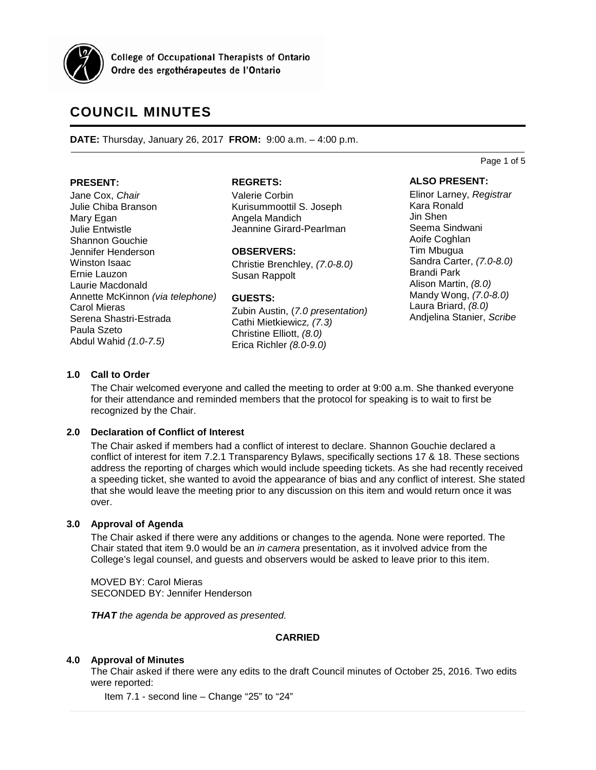

**College of Occupational Therapists of Ontario** Ordre des ergothérapeutes de l'Ontario

# **COUNCIL MINUTES**

**DATE:** Thursday, January 26, 2017 **FROM:** 9:00 a.m. – 4:00 p.m.

#### **PRESENT:**

Jane Cox, *Chair* Julie Chiba Branson Mary Egan Julie Entwistle Shannon Gouchie Jennifer Henderson Winston Isaac Ernie Lauzon Laurie Macdonald Annette McKinnon *(via telephone)* Carol Mieras Serena Shastri-Estrada Paula Szeto Abdul Wahid *(1.0-7.5)*

#### **REGRETS:**

Valerie Corbin Kurisummoottil S. Joseph Angela Mandich Jeannine Girard-Pearlman

#### **OBSERVERS:**

Christie Brenchley, *(7.0-8.0)* Susan Rappolt

#### **GUESTS:**

Zubin Austin, (*7.0 presentation)* Cathi Mietkiewicz*, (7.3)* Christine Elliott, *(8.0)* Erica Richler *(8.0-9.0)*

#### **ALSO PRESENT:**

Page 1 of 5

Elinor Larney, *Registrar* Kara Ronald Jin Shen Seema Sindwani Aoife Coghlan Tim Mbugua Sandra Carter, *(7.0-8.0)* Brandi Park Alison Martin, *(8.0)* Mandy Wong, *(7.0-8.0)* Laura Briard, *(8.0)* Andjelina Stanier, *Scribe*

# **1.0 Call to Order**

The Chair welcomed everyone and called the meeting to order at 9:00 a.m. She thanked everyone for their attendance and reminded members that the protocol for speaking is to wait to first be recognized by the Chair.

# **2.0 Declaration of Conflict of Interest**

The Chair asked if members had a conflict of interest to declare. Shannon Gouchie declared a conflict of interest for item 7.2.1 Transparency Bylaws, specifically sections 17 & 18. These sections address the reporting of charges which would include speeding tickets. As she had recently received a speeding ticket, she wanted to avoid the appearance of bias and any conflict of interest. She stated that she would leave the meeting prior to any discussion on this item and would return once it was over.

# **3.0 Approval of Agenda**

The Chair asked if there were any additions or changes to the agenda. None were reported. The Chair stated that item 9.0 would be an *in camera* presentation, as it involved advice from the College's legal counsel, and guests and observers would be asked to leave prior to this item.

MOVED BY: Carol Mieras SECONDED BY: Jennifer Henderson

*THAT the agenda be approved as presented.*

# **CARRIED**

# **4.0 Approval of Minutes**

The Chair asked if there were any edits to the draft Council minutes of October 25, 2016. Two edits were reported:

Item 7.1 - second line – Change "25" to "24"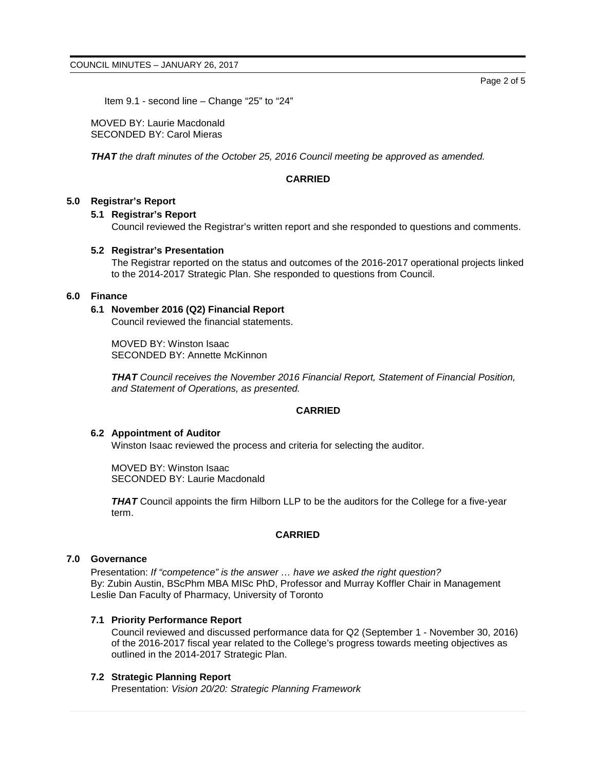Page 2 of 5

Item 9.1 - second line – Change "25" to "24"

MOVED BY: Laurie Macdonald SECONDED BY: Carol Mieras

*THAT the draft minutes of the October 25, 2016 Council meeting be approved as amended.*

# **CARRIED**

## **5.0 Registrar's Report**

# **5.1 Registrar's Report**

Council reviewed the Registrar's written report and she responded to questions and comments.

#### **5.2 Registrar's Presentation**

The Registrar reported on the status and outcomes of the 2016-2017 operational projects linked to the 2014-2017 Strategic Plan. She responded to questions from Council.

## **6.0 Finance**

## **6.1 November 2016 (Q2) Financial Report**

Council reviewed the financial statements.

MOVED BY: Winston Isaac SECONDED BY: Annette McKinnon

*THAT Council receives the November 2016 Financial Report, Statement of Financial Position, and Statement of Operations, as presented.*

#### **CARRIED**

#### **6.2 Appointment of Auditor**

Winston Isaac reviewed the process and criteria for selecting the auditor.

MOVED BY: Winston Isaac SECONDED BY: Laurie Macdonald

*THAT* Council appoints the firm Hilborn LLP to be the auditors for the College for a five-year term.

# **CARRIED**

#### **7.0 Governance**

Presentation: *If "competence" is the answer … have we asked the right question?* By: Zubin Austin, BScPhm MBA MISc PhD, Professor and Murray Koffler Chair in Management Leslie Dan Faculty of Pharmacy, University of Toronto

# **7.1 Priority Performance Report**

Council reviewed and discussed performance data for Q2 (September 1 - November 30, 2016) of the 2016-2017 fiscal year related to the College's progress towards meeting objectives as outlined in the 2014-2017 Strategic Plan.

#### **7.2 Strategic Planning Report**

Presentation: *Vision 20/20: Strategic Planning Framework*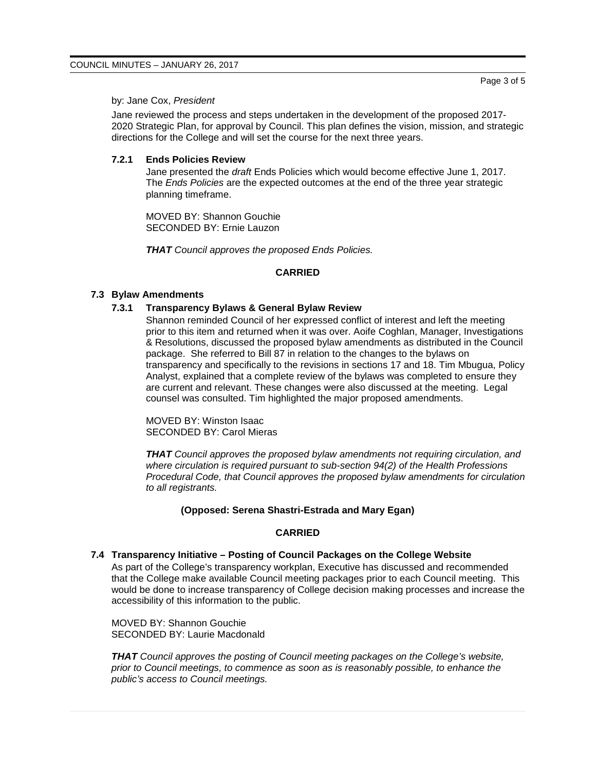## by: Jane Cox, *President*

Jane reviewed the process and steps undertaken in the development of the proposed 2017- 2020 Strategic Plan, for approval by Council. This plan defines the vision, mission, and strategic directions for the College and will set the course for the next three years.

#### **7.2.1 Ends Policies Review**

Jane presented the *draft* Ends Policies which would become effective June 1, 2017. The *Ends Policies* are the expected outcomes at the end of the three year strategic planning timeframe.

MOVED BY: Shannon Gouchie SECONDED BY: Ernie Lauzon

*THAT Council approves the proposed Ends Policies.*

## **CARRIED**

# **7.3 Bylaw Amendments**

## **7.3.1 Transparency Bylaws & General Bylaw Review**

Shannon reminded Council of her expressed conflict of interest and left the meeting prior to this item and returned when it was over. Aoife Coghlan, Manager, Investigations & Resolutions, discussed the proposed bylaw amendments as distributed in the Council package. She referred to Bill 87 in relation to the changes to the bylaws on transparency and specifically to the revisions in sections 17 and 18. Tim Mbugua, Policy Analyst, explained that a complete review of the bylaws was completed to ensure they are current and relevant. These changes were also discussed at the meeting. Legal counsel was consulted. Tim highlighted the major proposed amendments.

MOVED BY: Winston Isaac SECONDED BY: Carol Mieras

*THAT Council approves the proposed bylaw amendments not requiring circulation, and where circulation is required pursuant to sub-section 94(2) of the Health Professions Procedural Code, that Council approves the proposed bylaw amendments for circulation to all registrants.*

## **(Opposed: Serena Shastri-Estrada and Mary Egan)**

# **CARRIED**

# **7.4 Transparency Initiative – Posting of Council Packages on the College Website**

As part of the College's transparency workplan, Executive has discussed and recommended that the College make available Council meeting packages prior to each Council meeting. This would be done to increase transparency of College decision making processes and increase the accessibility of this information to the public.

MOVED BY: Shannon Gouchie SECONDED BY: Laurie Macdonald

*THAT Council approves the posting of Council meeting packages on the College's website, prior to Council meetings, to commence as soon as is reasonably possible, to enhance the public's access to Council meetings.*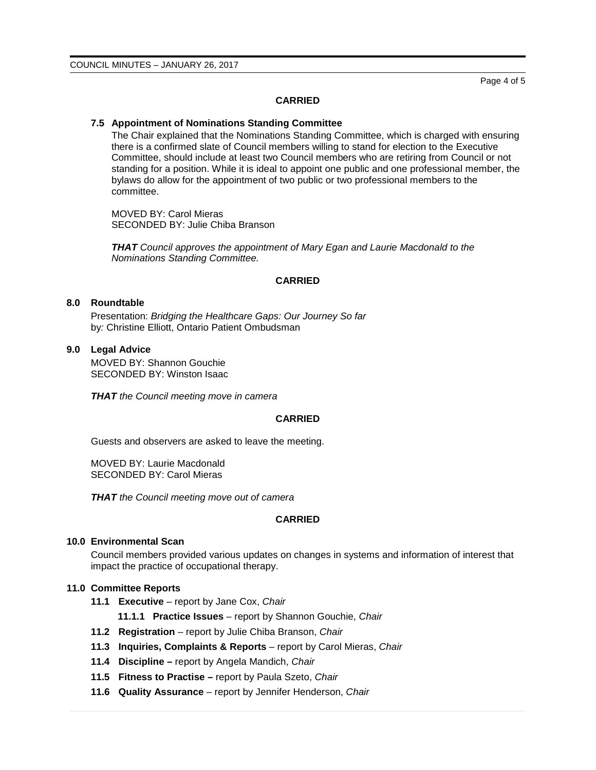Page 4 of 5

#### **CARRIED**

#### **7.5 Appointment of Nominations Standing Committee**

The Chair explained that the Nominations Standing Committee, which is charged with ensuring there is a confirmed slate of Council members willing to stand for election to the Executive Committee, should include at least two Council members who are retiring from Council or not standing for a position. While it is ideal to appoint one public and one professional member, the bylaws do allow for the appointment of two public or two professional members to the committee.

MOVED BY: Carol Mieras SECONDED BY: Julie Chiba Branson

*THAT Council approves the appointment of Mary Egan and Laurie Macdonald to the Nominations Standing Committee.*

## **CARRIED**

# **8.0 Roundtable**

Presentation: *Bridging the Healthcare Gaps: Our Journey So far* by*:* Christine Elliott, Ontario Patient Ombudsman

## **9.0 Legal Advice**

MOVED BY: Shannon Gouchie SECONDED BY: Winston Isaac

*THAT the Council meeting move in camera*

#### **CARRIED**

Guests and observers are asked to leave the meeting.

MOVED BY: Laurie Macdonald SECONDED BY: Carol Mieras

*THAT the Council meeting move out of camera*

# **CARRIED**

#### **10.0 Environmental Scan**

Council members provided various updates on changes in systems and information of interest that impact the practice of occupational therapy.

# **11.0 Committee Reports**

- **11.1 Executive** report by Jane Cox, *Chair*
	- **11.1.1 Practice Issues** report by Shannon Gouchie, *Chair*
- **11.2 Registration** report by Julie Chiba Branson, *Chair*
- **11.3 Inquiries, Complaints & Reports** report by Carol Mieras, *Chair*
- **11.4 Discipline –** report by Angela Mandich, *Chair*
- **11.5 Fitness to Practise –** report by Paula Szeto, *Chair*
- **11.6 Quality Assurance**  report by Jennifer Henderson, *Chair*